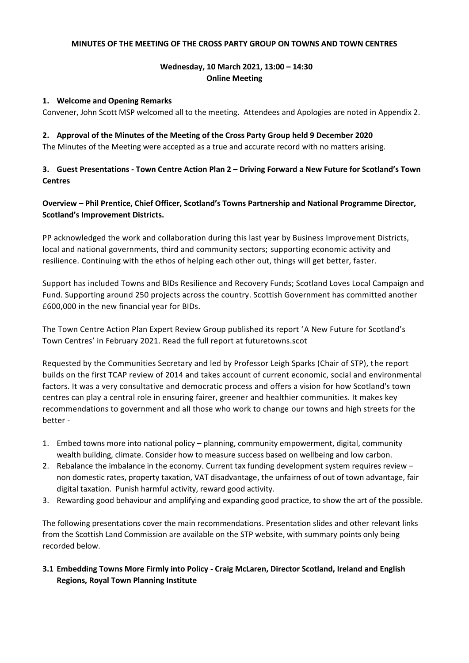#### **MINUTES OF THE MEETING OF THE CROSS PARTY GROUP ON TOWNS AND TOWN CENTRES**

## **Wednesday, 10 March 2021, 13:00 – 14:30 Online Meeting**

#### **1. Welcome and Opening Remarks**

Convener, John Scott MSP welcomed all to the meeting. Attendees and Apologies are noted in Appendix 2.

#### **2. Approval of the Minutes of the Meeting of the Cross Party Group held 9 December 2020**

The Minutes of the Meeting were accepted as a true and accurate record with no matters arising.

#### **3. Guest Presentations - Town Centre Action Plan 2 – Driving Forward a New Future for Scotland's Town Centres**

**Overview – Phil Prentice, Chief Officer, Scotland's Towns Partnership and National Programme Director, Scotland's Improvement Districts.** 

PP acknowledged the work and collaboration during this last year by Business Improvement Districts, local and national governments, third and community sectors; supporting economic activity and resilience. Continuing with the ethos of helping each other out, things will get better, faster.

Support has included Towns and BIDs Resilience and Recovery Funds; Scotland Loves Local Campaign and Fund. Supporting around 250 projects across the country. Scottish Government has committed another £600,000 in the new financial year for BIDs.

The Town Centre Action Plan Expert Review Group published its report 'A New Future for Scotland's Town Centres' in February 2021. Read the full report at futuretowns.scot

Requested by the Communities Secretary and led by Professor Leigh Sparks (Chair of STP), the report builds on the first TCAP review of 2014 and takes account of current economic, social and environmental factors. It was a very consultative and democratic process and offers a vision for how Scotland's town centres can play a central role in ensuring fairer, greener and healthier communities. It makes key recommendations to government and all those who work to change our towns and high streets for the better -

- 1. Embed towns more into national policy planning, community empowerment, digital, community wealth building, climate. Consider how to measure success based on wellbeing and low carbon.
- 2. Rebalance the imbalance in the economy. Current tax funding development system requires review non domestic rates, property taxation, VAT disadvantage, the unfairness of out of town advantage, fair digital taxation. Punish harmful activity, reward good activity.
- 3. Rewarding good behaviour and amplifying and expanding good practice, to show the art of the possible.

The following presentations cover the main recommendations. Presentation slides and other relevant links from the Scottish Land Commission are available on the STP website, with summary points only being recorded below.

## **3.1 Embedding Towns More Firmly into Policy - Craig McLaren, Director Scotland, Ireland and English Regions, Royal Town Planning Institute**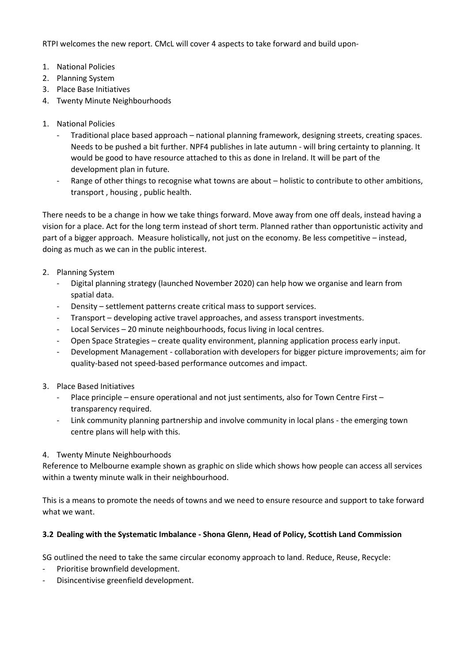RTPI welcomes the new report. CMcL will cover 4 aspects to take forward and build upon-

- 1. National Policies
- 2. Planning System
- 3. Place Base Initiatives
- 4. Twenty Minute Neighbourhoods
- 1. National Policies
	- Traditional place based approach national planning framework, designing streets, creating spaces. Needs to be pushed a bit further. NPF4 publishes in late autumn - will bring certainty to planning. It would be good to have resource attached to this as done in Ireland. It will be part of the development plan in future.
	- Range of other things to recognise what towns are about holistic to contribute to other ambitions, transport , housing , public health.

There needs to be a change in how we take things forward. Move away from one off deals, instead having a vision for a place. Act for the long term instead of short term. Planned rather than opportunistic activity and part of a bigger approach. Measure holistically, not just on the economy. Be less competitive – instead, doing as much as we can in the public interest.

- 2. Planning System
	- Digital planning strategy (launched November 2020) can help how we organise and learn from spatial data.
	- Density settlement patterns create critical mass to support services.
	- Transport developing active travel approaches, and assess transport investments.
	- Local Services 20 minute neighbourhoods, focus living in local centres.
	- Open Space Strategies create quality environment, planning application process early input.
	- Development Management collaboration with developers for bigger picture improvements; aim for quality-based not speed-based performance outcomes and impact.
- 3. Place Based Initiatives
	- Place principle ensure operational and not just sentiments, also for Town Centre First transparency required.
	- Link community planning partnership and involve community in local plans the emerging town centre plans will help with this.

#### 4. Twenty Minute Neighbourhoods

Reference to Melbourne example shown as graphic on slide which shows how people can access all services within a twenty minute walk in their neighbourhood.

This is a means to promote the needs of towns and we need to ensure resource and support to take forward what we want.

#### **3.2 Dealing with the Systematic Imbalance - Shona Glenn, Head of Policy, Scottish Land Commission**

SG outlined the need to take the same circular economy approach to land. Reduce, Reuse, Recycle:

- Prioritise brownfield development.
- Disincentivise greenfield development.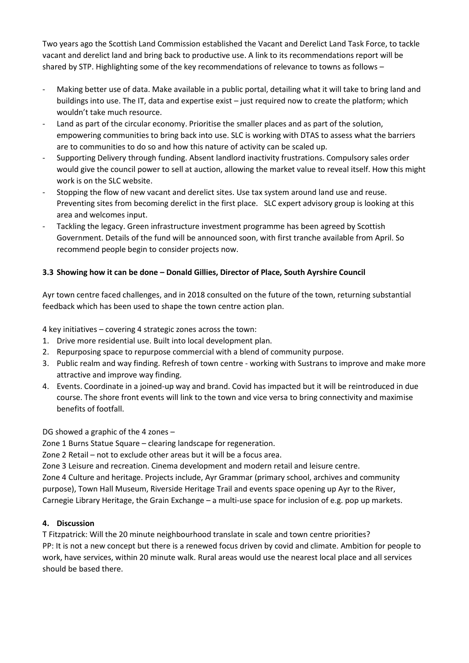Two years ago the Scottish Land Commission established the Vacant and Derelict Land Task Force, to tackle vacant and derelict land and bring back to productive use. A link to its recommendations report will be shared by STP. Highlighting some of the key recommendations of relevance to towns as follows –

- Making better use of data. Make available in a public portal, detailing what it will take to bring land and buildings into use. The IT, data and expertise exist – just required now to create the platform; which wouldn't take much resource.
- Land as part of the circular economy. Prioritise the smaller places and as part of the solution, empowering communities to bring back into use. SLC is working with DTAS to assess what the barriers are to communities to do so and how this nature of activity can be scaled up.
- Supporting Delivery through funding. Absent landlord inactivity frustrations. Compulsory sales order would give the council power to sell at auction, allowing the market value to reveal itself. How this might work is on the SLC website.
- Stopping the flow of new vacant and derelict sites. Use tax system around land use and reuse. Preventing sites from becoming derelict in the first place. SLC expert advisory group is looking at this area and welcomes input.
- Tackling the legacy. Green infrastructure investment programme has been agreed by Scottish Government. Details of the fund will be announced soon, with first tranche available from April. So recommend people begin to consider projects now.

## **3.3 Showing how it can be done – Donald Gillies, Director of Place, South Ayrshire Council**

Ayr town centre faced challenges, and in 2018 consulted on the future of the town, returning substantial feedback which has been used to shape the town centre action plan.

4 key initiatives – covering 4 strategic zones across the town:

- 1. Drive more residential use. Built into local development plan.
- 2. Repurposing space to repurpose commercial with a blend of community purpose.
- 3. Public realm and way finding. Refresh of town centre working with Sustrans to improve and make more attractive and improve way finding.
- 4. Events. Coordinate in a joined-up way and brand. Covid has impacted but it will be reintroduced in due course. The shore front events will link to the town and vice versa to bring connectivity and maximise benefits of footfall.

DG showed a graphic of the 4 zones –

Zone 1 Burns Statue Square – clearing landscape for regeneration.

Zone 2 Retail – not to exclude other areas but it will be a focus area.

Zone 3 Leisure and recreation. Cinema development and modern retail and leisure centre.

Zone 4 Culture and heritage. Projects include, Ayr Grammar (primary school, archives and community purpose), Town Hall Museum, Riverside Heritage Trail and events space opening up Ayr to the River, Carnegie Library Heritage, the Grain Exchange – a multi-use space for inclusion of e.g. pop up markets.

#### **4. Discussion**

T Fitzpatrick: Will the 20 minute neighbourhood translate in scale and town centre priorities? PP: It is not a new concept but there is a renewed focus driven by covid and climate. Ambition for people to work, have services, within 20 minute walk. Rural areas would use the nearest local place and all services should be based there.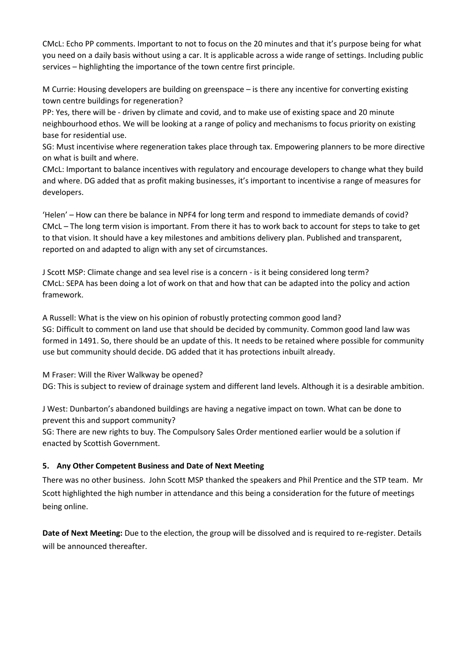CMcL: Echo PP comments. Important to not to focus on the 20 minutes and that it's purpose being for what you need on a daily basis without using a car. It is applicable across a wide range of settings. Including public services – highlighting the importance of the town centre first principle.

M Currie: Housing developers are building on greenspace – is there any incentive for converting existing town centre buildings for regeneration?

PP: Yes, there will be - driven by climate and covid, and to make use of existing space and 20 minute neighbourhood ethos. We will be looking at a range of policy and mechanisms to focus priority on existing base for residential use.

SG: Must incentivise where regeneration takes place through tax. Empowering planners to be more directive on what is built and where.

CMcL: Important to balance incentives with regulatory and encourage developers to change what they build and where. DG added that as profit making businesses, it's important to incentivise a range of measures for developers.

'Helen' – How can there be balance in NPF4 for long term and respond to immediate demands of covid? CMcL – The long term vision is important. From there it has to work back to account for steps to take to get to that vision. It should have a key milestones and ambitions delivery plan. Published and transparent, reported on and adapted to align with any set of circumstances.

J Scott MSP: Climate change and sea level rise is a concern - is it being considered long term? CMcL: SEPA has been doing a lot of work on that and how that can be adapted into the policy and action framework.

A Russell: What is the view on his opinion of robustly protecting common good land? SG: Difficult to comment on land use that should be decided by community. Common good land law was formed in 1491. So, there should be an update of this. It needs to be retained where possible for community use but community should decide. DG added that it has protections inbuilt already.

M Fraser: Will the River Walkway be opened? DG: This is subject to review of drainage system and different land levels. Although it is a desirable ambition.

J West: Dunbarton's abandoned buildings are having a negative impact on town. What can be done to prevent this and support community?

SG: There are new rights to buy. The Compulsory Sales Order mentioned earlier would be a solution if enacted by Scottish Government.

#### **5. Any Other Competent Business and Date of Next Meeting**

There was no other business. John Scott MSP thanked the speakers and Phil Prentice and the STP team. Mr Scott highlighted the high number in attendance and this being a consideration for the future of meetings being online.

**Date of Next Meeting:** Due to the election, the group will be dissolved and is required to re-register. Details will be announced thereafter.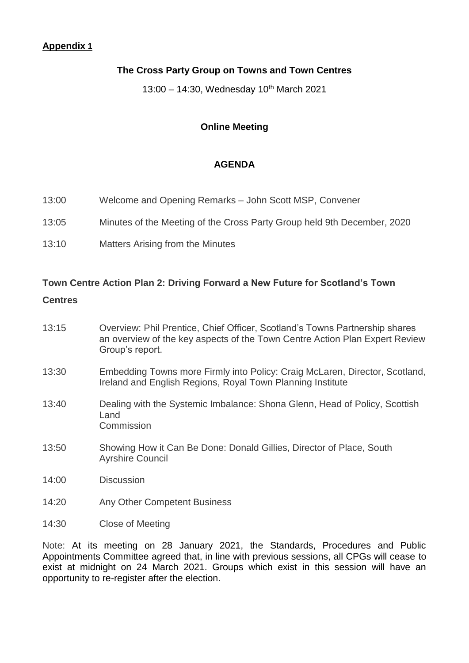# **Appendix 1**

# **The Cross Party Group on Towns and Town Centres**

13:00 – 14:30, Wednesday 10<sup>th</sup> March 2021

# **Online Meeting**

## **AGENDA**

- 13:00 Welcome and Opening Remarks John Scott MSP, Convener
- 13:05 Minutes of the Meeting of the Cross Party Group held 9th December, 2020
- 13:10 Matters Arising from the Minutes

## **Town Centre Action Plan 2: Driving Forward a New Future for Scotland's Town**

## **Centres**

- 13:15 Overview: Phil Prentice, Chief Officer, Scotland's Towns Partnership shares an overview of the key aspects of the Town Centre Action Plan Expert Review Group's report.
- 13:30 Embedding Towns more Firmly into Policy: Craig McLaren, Director, Scotland, Ireland and English Regions, Royal Town Planning Institute
- 13:40 Dealing with the Systemic Imbalance: Shona Glenn, Head of Policy, Scottish Land **Commission**
- 13:50 Showing How it Can Be Done: Donald Gillies, Director of Place, South Ayrshire Council
- 14:00 Discussion
- 14:20 Any Other Competent Business
- 14:30 Close of Meeting

Note: At its meeting on 28 January 2021, the Standards, Procedures and Public Appointments Committee agreed that, in line with previous sessions, all CPGs will cease to exist at midnight on 24 March 2021. Groups which exist in this session will have an opportunity to re-register after the election.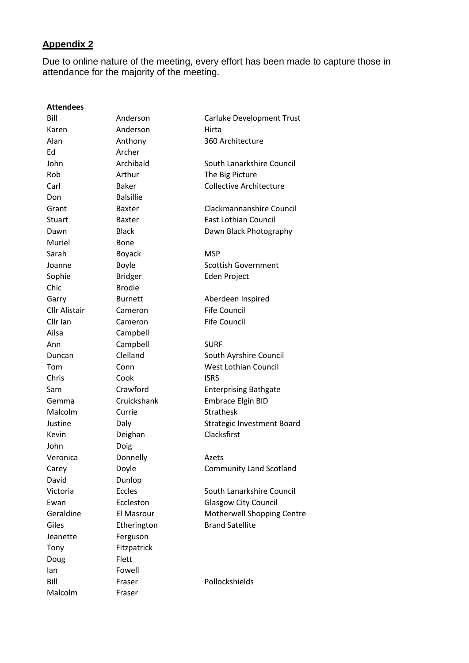# **Appendix 2**

Due to online nature of the meeting, every effort has been made to capture those in attendance for the majority of the meeting.

| <b>Attendees</b>     |                   |                                   |
|----------------------|-------------------|-----------------------------------|
| Bill                 | Anderson          | Carluke Development Trust         |
| Karen                | Anderson          | Hirta                             |
| Alan                 | Anthony           | 360 Architecture                  |
| Ed                   | Archer            |                                   |
| John                 | Archibald         | South Lanarkshire Council         |
| Rob                  | Arthur            | The Big Picture                   |
| Carl                 | <b>Baker</b>      | <b>Collective Architecture</b>    |
| Don                  | <b>Balsillie</b>  |                                   |
| Grant                | <b>Baxter</b>     | Clackmannanshire Council          |
| Stuart               | <b>Baxter</b>     | <b>East Lothian Council</b>       |
| Dawn                 | <b>Black</b>      | Dawn Black Photography            |
| Muriel               | Bone              |                                   |
| Sarah                | <b>Boyack</b>     | <b>MSP</b>                        |
| Joanne               | Boyle             | <b>Scottish Government</b>        |
| Sophie               | <b>Bridger</b>    | Eden Project                      |
| Chic                 | <b>Brodie</b>     |                                   |
| Garry                | <b>Burnett</b>    | Aberdeen Inspired                 |
| <b>Cllr Alistair</b> | Cameron           | <b>Fife Council</b>               |
| Cllr Ian             | Cameron           | <b>Fife Council</b>               |
| Ailsa                | Campbell          |                                   |
| Ann                  | Campbell          | <b>SURF</b>                       |
| Duncan               | Clelland          | South Ayrshire Council            |
| Tom                  | Conn              | <b>West Lothian Council</b>       |
| Chris                | Cook              | <b>ISRS</b>                       |
| Sam                  | Crawford          | <b>Enterprising Bathgate</b>      |
| Gemma                | Cruickshank       | <b>Embrace Elgin BID</b>          |
| Malcolm              | Currie            | <b>Strathesk</b>                  |
| Justine              | Daly              | <b>Strategic Investment Board</b> |
| Kevin                | Deighan           | Clacksfirst                       |
| John                 | Doig              |                                   |
| Veronica             | Donnelly          | Azets                             |
| Carey                | Doyle             | <b>Community Land Scotland</b>    |
| David                | Dunlop            |                                   |
| Victoria             | <b>Eccles</b>     | South Lanarkshire Council         |
| Ewan                 | Eccleston         | <b>Glasgow City Council</b>       |
| Geraldine            | <b>El Masrour</b> | Motherwell Shopping Centre        |
| Giles                | Etherington       | <b>Brand Satellite</b>            |
| Jeanette             | Ferguson          |                                   |
| Tony                 | Fitzpatrick       |                                   |
| Doug                 | Flett             |                                   |
| lan                  | Fowell            |                                   |
| Bill                 | Fraser            | Pollockshields                    |
| Malcolm              | Fraser            |                                   |
|                      |                   |                                   |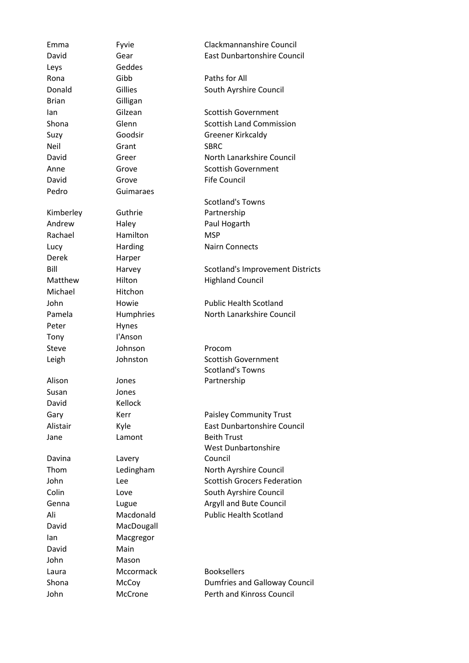Emma Fyvie Clackmannanshire Council David Gear East Dunbartonshire Council Leys Geddes Rona Gibb **Paths for All** Donald Gillies Gillies South Ayrshire Council Brian Gilligan Ian Gilzean Scottish Government Shona Glenn Scottish Land Commission Suzy Goodsir Greener Kirkcaldy Neil Grant SBRC David Greer **North Lanarkshire Council** Anne Grove Scottish Government David Grove Fife Council Pedro Guimaraes Kimberley Guthrie Scotland's Towns Partnership Andrew Haley **Haley** Paul Hogarth Rachael Hamilton MSP Lucy Harding Nairn Connects Derek Harper Bill Harvey Scotland's Improvement Districts Matthew Hilton Highland Council Michael Hitchon John Howie Public Health Scotland Pamela Humphries North Lanarkshire Council Peter Hynes Tony I'Anson Steve Johnson Procom Leigh Johnston Scottish Government Alison Jones Scotland's Towns Partnership Susan Jones David Kellock Gary Kerr **Reset Account Community Trust** Alistair Kyle East Dunbartonshire Council Jane Lamont Beith Trust Davina Lavery West Dunbartonshire Council Thom Ledingham North Ayrshire Council John Lee **Lee** Scottish Grocers Federation Colin Love Love South Ayrshire Council Genna Lugue **Argyll** and Bute Council Ali Macdonald Public Health Scotland David MacDougall Ian Macgregor David Main John Mason Laura Mccormack Booksellers Shona McCoy Dumfries and Galloway Council John McCrone Perth and Kinross Council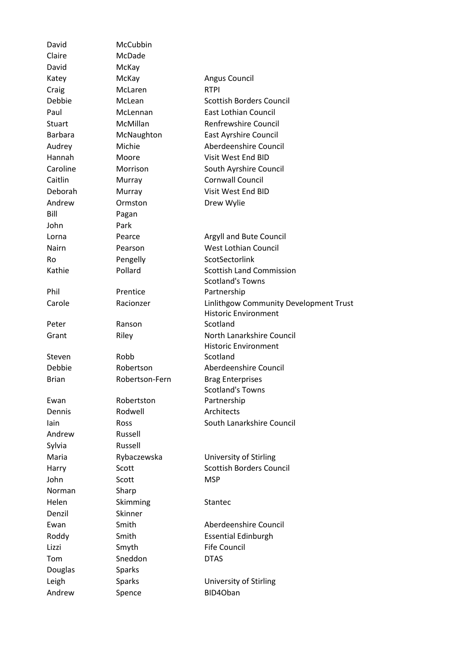| David          | McCubbin       |                                                                       |  |
|----------------|----------------|-----------------------------------------------------------------------|--|
| Claire         | McDade         |                                                                       |  |
| David          | McKay          |                                                                       |  |
| Katey          | McKay          | Angus Council                                                         |  |
| Craig          | McLaren        | <b>RTPI</b>                                                           |  |
| Debbie         | McLean         | <b>Scottish Borders Council</b>                                       |  |
| Paul           | McLennan       | East Lothian Council                                                  |  |
| Stuart         | McMillan       | <b>Renfrewshire Council</b>                                           |  |
| <b>Barbara</b> | McNaughton     | <b>East Ayrshire Council</b>                                          |  |
| Audrey         | Michie         | Aberdeenshire Council                                                 |  |
| Hannah         | Moore          | Visit West End BID                                                    |  |
| Caroline       | Morrison       | South Ayrshire Council                                                |  |
| Caitlin        | Murray         | <b>Cornwall Council</b>                                               |  |
| Deborah        | Murray         | Visit West End BID                                                    |  |
| Andrew         | Ormston        | Drew Wylie                                                            |  |
| Bill           | Pagan          |                                                                       |  |
| John           | Park           |                                                                       |  |
| Lorna          | Pearce         | Argyll and Bute Council                                               |  |
| <b>Nairn</b>   | Pearson        | <b>West Lothian Council</b>                                           |  |
| Ro             | Pengelly       | ScotSectorlink                                                        |  |
| Kathie         | Pollard        | <b>Scottish Land Commission</b>                                       |  |
|                |                | <b>Scotland's Towns</b>                                               |  |
| Phil           | Prentice       | Partnership                                                           |  |
| Carole         | Racionzer      | Linlithgow Community Development Trust<br><b>Historic Environment</b> |  |
| Peter          | Ranson         | Scotland                                                              |  |
| Grant          | Riley          | North Lanarkshire Council                                             |  |
|                |                | <b>Historic Environment</b>                                           |  |
| Steven         | Robb           | Scotland                                                              |  |
| Debbie         | Robertson      | Aberdeenshire Council                                                 |  |
| <b>Brian</b>   | Robertson-Fern | <b>Brag Enterprises</b>                                               |  |
|                |                | <b>Scotland's Towns</b>                                               |  |
| Ewan           | Robertston     | Partnership                                                           |  |
| Dennis         | Rodwell        | Architects                                                            |  |
| lain           | Ross           | South Lanarkshire Council                                             |  |
| Andrew         | Russell        |                                                                       |  |
| Sylvia         | Russell        |                                                                       |  |
| Maria          | Rybaczewska    | University of Stirling                                                |  |
| Harry          | Scott          | <b>Scottish Borders Council</b>                                       |  |
| John           | Scott          | <b>MSP</b>                                                            |  |
| Norman         | Sharp          |                                                                       |  |
| Helen          | Skimming       | <b>Stantec</b>                                                        |  |
| Denzil         | Skinner        |                                                                       |  |
| Ewan           | Smith          | Aberdeenshire Council                                                 |  |
| Roddy          | Smith          | <b>Essential Edinburgh</b>                                            |  |
| Lizzi          | Smyth          | <b>Fife Council</b>                                                   |  |
| Tom            | Sneddon        | <b>DTAS</b>                                                           |  |
| Douglas        | <b>Sparks</b>  |                                                                       |  |
| Leigh          | <b>Sparks</b>  | University of Stirling                                                |  |
| Andrew         | Spence         | BID4Oban                                                              |  |